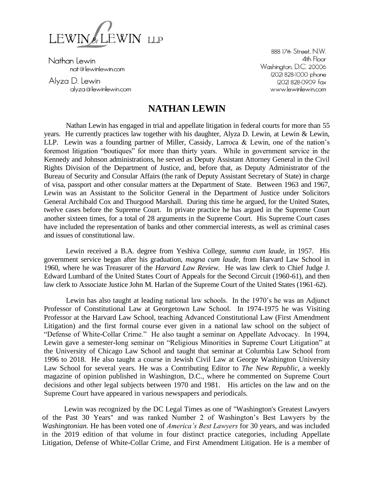

Nathan Lewin nat@lewinlewin.com

Alyza D. Lewin alyza@lewinlewin.com

888 17th Street, N.W. 4th Floor Washington, D.C. 20006 (202) 828-1000 phone (202) 828-0909 fax www.lewinlewin.com

## **NATHAN LEWIN**

Nathan Lewin has engaged in trial and appellate litigation in federal courts for more than 55 years. He currently practices law together with his daughter, Alyza D. Lewin, at Lewin & Lewin, LLP. Lewin was a founding partner of Miller, Cassidy, Larroca & Lewin, one of the nation's foremost litigation "boutiques" for more than thirty years. While in government service in the Kennedy and Johnson administrations, he served as Deputy Assistant Attorney General in the Civil Rights Division of the Department of Justice, and, before that, as Deputy Administrator of the Bureau of Security and Consular Affairs (the rank of Deputy Assistant Secretary of State) in charge of visa, passport and other consular matters at the Department of State. Between 1963 and 1967, Lewin was an Assistant to the Solicitor General in the Department of Justice under Solicitors General Archibald Cox and Thurgood Marshall. During this time he argued, for the United States, twelve cases before the Supreme Court. In private practice he has argued in the Supreme Court another sixteen times, for a total of 28 arguments in the Supreme Court. His Supreme Court cases have included the representation of banks and other commercial interests, as well as criminal cases and issues of constitutional law.

Lewin received a B.A. degree from Yeshiva College, *summa cum laude,* in 1957. His government service began after his graduation, *magna cum laude,* from Harvard Law School in 1960, where he was Treasurer of the *Harvard Law Review*. He was law clerk to Chief Judge J. Edward Lumbard of the United States Court of Appeals for the Second Circuit (1960-61), and then law clerk to Associate Justice John M. Harlan of the Supreme Court of the United States (1961-62).

Lewin has also taught at leading national law schools. In the 1970's he was an Adjunct Professor of Constitutional Law at Georgetown Law School. In 1974-1975 he was Visiting Professor at the Harvard Law School, teaching Advanced Constitutional Law (First Amendment Litigation) and the first formal course ever given in a national law school on the subject of "Defense of White-Collar Crime." He also taught a seminar on Appellate Advocacy. In 1994, Lewin gave a semester-long seminar on "Religious Minorities in Supreme Court Litigation" at the University of Chicago Law School and taught that seminar at Columbia Law School from 1996 to 2018. He also taught a course in Jewish Civil Law at George Washington University Law School for several years. He was a Contributing Editor to *The New Republic*, a weekly magazine of opinion published in Washington, D.C., where he commented on Supreme Court decisions and other legal subjects between 1970 and 1981. His articles on the law and on the Supreme Court have appeared in various newspapers and periodicals.

Lewin was recognized by the DC Legal Times as one of "Washington's Greatest Lawyers of the Past 30 Years" and was ranked Number 2 of Washington's Best Lawyers by the *Washingtonian.* He has been voted one of *America's Best Lawyers* for 30 years, and was included in the 2019 edition of that volume in four distinct practice categories, including Appellate Litigation, Defense of White-Collar Crime, and First Amendment Litigation. He is a member of